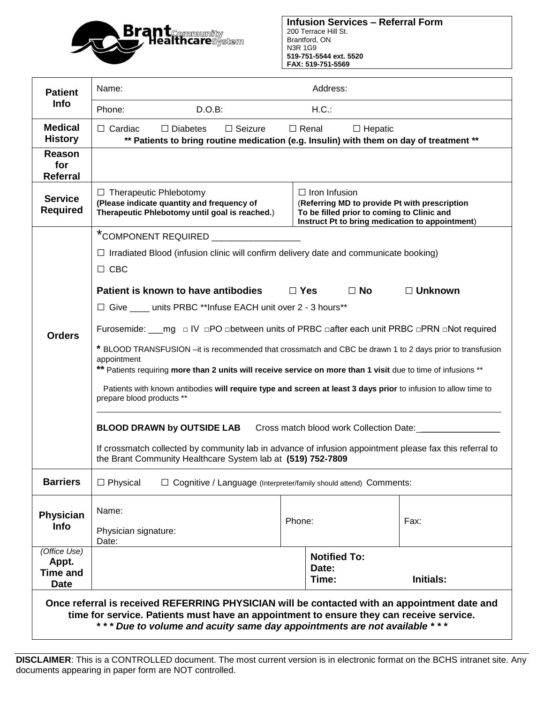

| <b>Patient</b><br><b>Info</b>                                                                                                                                                                                                                                       | Address:<br>Name:                                                                                                                                                                                                                        |            |                                                                                                                                                                        |                |  |  |  |  |  |
|---------------------------------------------------------------------------------------------------------------------------------------------------------------------------------------------------------------------------------------------------------------------|------------------------------------------------------------------------------------------------------------------------------------------------------------------------------------------------------------------------------------------|------------|------------------------------------------------------------------------------------------------------------------------------------------------------------------------|----------------|--|--|--|--|--|
|                                                                                                                                                                                                                                                                     | Phone:<br>$D.O.B$ :                                                                                                                                                                                                                      |            | H.C.:                                                                                                                                                                  |                |  |  |  |  |  |
| <b>Medical</b><br><b>History</b>                                                                                                                                                                                                                                    | $\Box$ Cardiac<br>$\Box$ Seizure<br>$\Box$ Renal<br>$\Box$ Hepatic<br>$\Box$ Diabetes<br>** Patients to bring routine medication (e.g. Insulin) with them on day of treatment **                                                         |            |                                                                                                                                                                        |                |  |  |  |  |  |
| <b>Reason</b><br>for<br><b>Referral</b>                                                                                                                                                                                                                             |                                                                                                                                                                                                                                          |            |                                                                                                                                                                        |                |  |  |  |  |  |
| <b>Service</b><br><b>Required</b>                                                                                                                                                                                                                                   | $\Box$ Therapeutic Phlebotomy<br>(Please indicate quantity and frequency of<br>Therapeutic Phlebotomy until goal is reached.)                                                                                                            |            | $\Box$ Iron Infusion<br>(Referring MD to provide Pt with prescription<br>To be filled prior to coming to Clinic and<br>Instruct Pt to bring medication to appointment) |                |  |  |  |  |  |
|                                                                                                                                                                                                                                                                     | *COMPONENT REQUIRED _                                                                                                                                                                                                                    |            |                                                                                                                                                                        |                |  |  |  |  |  |
|                                                                                                                                                                                                                                                                     | $\Box$ Irradiated Blood (infusion clinic will confirm delivery date and communicate booking)                                                                                                                                             |            |                                                                                                                                                                        |                |  |  |  |  |  |
|                                                                                                                                                                                                                                                                     | $\Box$ CBC                                                                                                                                                                                                                               |            |                                                                                                                                                                        |                |  |  |  |  |  |
|                                                                                                                                                                                                                                                                     | Patient is known to have antibodies                                                                                                                                                                                                      | $\Box$ Yes | $\Box$ No                                                                                                                                                              | $\Box$ Unknown |  |  |  |  |  |
|                                                                                                                                                                                                                                                                     | □ Give ____ units PRBC **Infuse EACH unit over 2 - 3 hours**                                                                                                                                                                             |            |                                                                                                                                                                        |                |  |  |  |  |  |
| <b>Orders</b>                                                                                                                                                                                                                                                       | Furosemide: ___mg □ IV □PO □between units of PRBC □after each unit PRBC □PRN □Not required                                                                                                                                               |            |                                                                                                                                                                        |                |  |  |  |  |  |
|                                                                                                                                                                                                                                                                     | * BLOOD TRANSFUSION -it is recommended that crossmatch and CBC be drawn 1 to 2 days prior to transfusion<br>appointment<br>** Patients requiring more than 2 units will receive service on more than 1 visit due to time of infusions ** |            |                                                                                                                                                                        |                |  |  |  |  |  |
|                                                                                                                                                                                                                                                                     | Patients with known antibodies will require type and screen at least 3 days prior to infusion to allow time to<br>prepare blood products **                                                                                              |            |                                                                                                                                                                        |                |  |  |  |  |  |
|                                                                                                                                                                                                                                                                     | <b>BLOOD DRAWN by OUTSIDE LAB</b><br>Cross match blood work Collection Date: ___                                                                                                                                                         |            |                                                                                                                                                                        |                |  |  |  |  |  |
|                                                                                                                                                                                                                                                                     | If crossmatch collected by community lab in advance of infusion appointment please fax this referral to<br>the Brant Community Healthcare System lab at (519) 752-7809                                                                   |            |                                                                                                                                                                        |                |  |  |  |  |  |
| <b>Barriers</b>                                                                                                                                                                                                                                                     | $\Box$ Physical<br>□ Cognitive / Language (Interpreter/family should attend) Comments:                                                                                                                                                   |            |                                                                                                                                                                        |                |  |  |  |  |  |
| Physician                                                                                                                                                                                                                                                           | Name:                                                                                                                                                                                                                                    |            |                                                                                                                                                                        | Fax:           |  |  |  |  |  |
| <b>Info</b>                                                                                                                                                                                                                                                         | Physician signature:                                                                                                                                                                                                                     | Phone:     |                                                                                                                                                                        |                |  |  |  |  |  |
| (Office Use)                                                                                                                                                                                                                                                        | Date:                                                                                                                                                                                                                                    |            |                                                                                                                                                                        |                |  |  |  |  |  |
| Appt.                                                                                                                                                                                                                                                               |                                                                                                                                                                                                                                          |            | <b>Notified To:</b><br>Date:                                                                                                                                           |                |  |  |  |  |  |
| <b>Time and</b><br><b>Date</b>                                                                                                                                                                                                                                      |                                                                                                                                                                                                                                          |            | Time:                                                                                                                                                                  | Initials:      |  |  |  |  |  |
| Once referral is received REFERRING PHYSICIAN will be contacted with an appointment date and<br>time for service. Patients must have an appointment to ensure they can receive service.<br>*** Due to volume and acuity same day appointments are not available *** |                                                                                                                                                                                                                                          |            |                                                                                                                                                                        |                |  |  |  |  |  |